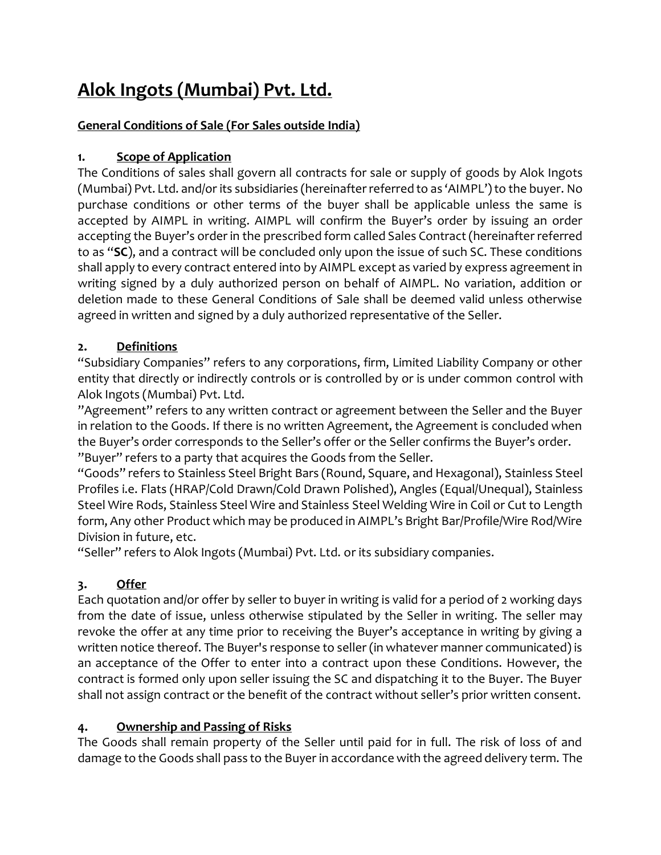# **Alok Ingots (Mumbai) Pvt. Ltd.**

# **General Conditions of Sale (For Sales outside India)**

# **1. Scope of Application**

The Conditions of sales shall govern all contracts for sale or supply of goods by Alok Ingots (Mumbai) Pvt. Ltd. and/or its subsidiaries (hereinafter referred to as 'AIMPL') to the buyer. No purchase conditions or other terms of the buyer shall be applicable unless the same is accepted by AIMPL in writing. AIMPL will confirm the Buyer's order by issuing an order accepting the Buyer's order in the prescribed form called Sales Contract (hereinafter referred to as "**SC**), and a contract will be concluded only upon the issue of such SC. These conditions shall apply to every contract entered into by AIMPL except as varied by express agreement in writing signed by a duly authorized person on behalf of AIMPL. No variation, addition or deletion made to these General Conditions of Sale shall be deemed valid unless otherwise agreed in written and signed by a duly authorized representative of the Seller.

# **2. Definitions**

"Subsidiary Companies" refers to any corporations, firm, Limited Liability Company or other entity that directly or indirectly controls or is controlled by or is under common control with Alok Ingots (Mumbai) Pvt. Ltd.

"Agreement" refers to any written contract or agreement between the Seller and the Buyer in relation to the Goods. If there is no written Agreement, the Agreement is concluded when the Buyer's order corresponds to the Seller's offer or the Seller confirms the Buyer's order. "Buyer" refers to a party that acquires the Goods from the Seller.

"Goods" refers to Stainless Steel Bright Bars (Round, Square, and Hexagonal), Stainless Steel Profiles i.e. Flats (HRAP/Cold Drawn/Cold Drawn Polished), Angles (Equal/Unequal), Stainless Steel Wire Rods, Stainless Steel Wire and Stainless Steel Welding Wire in Coil or Cut to Length form, Any other Product which may be produced in AIMPL's Bright Bar/Profile/Wire Rod/Wire Division in future, etc.

"Seller" refers to Alok Ingots (Mumbai) Pvt. Ltd. or its subsidiary companies.

# **3. Offer**

Each quotation and/or offer by seller to buyer in writing is valid for a period of 2 working days from the date of issue, unless otherwise stipulated by the Seller in writing. The seller may revoke the offer at any time prior to receiving the Buyer's acceptance in writing by giving a written notice thereof. The Buyer's response to seller (in whatever manner communicated) is an acceptance of the Offer to enter into a contract upon these Conditions. However, the contract is formed only upon seller issuing the SC and dispatching it to the Buyer. The Buyer shall not assign contract or the benefit of the contract without seller's prior written consent.

## **4. Ownership and Passing of Risks**

The Goods shall remain property of the Seller until paid for in full. The risk of loss of and damage to the Goods shall pass to the Buyer in accordance with the agreed delivery term. The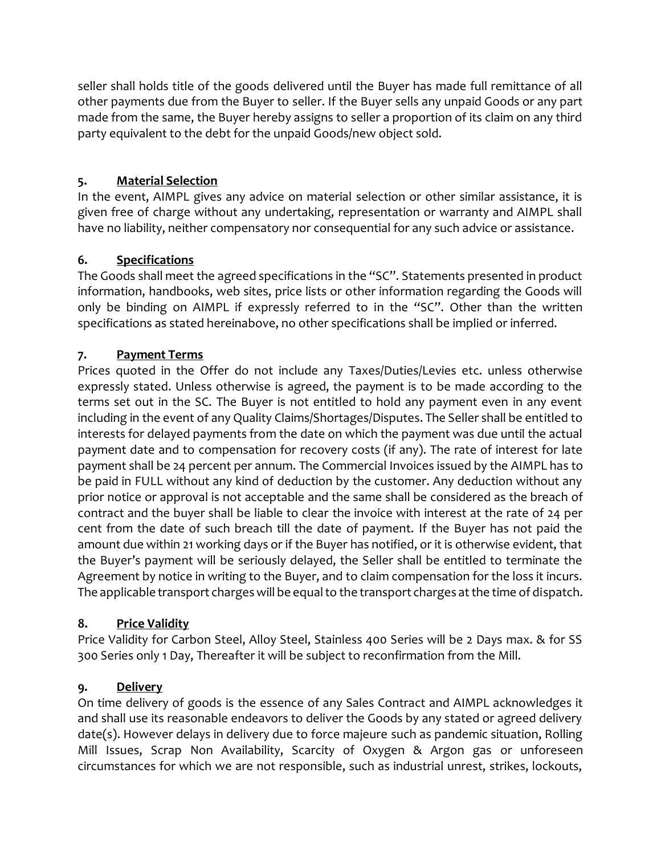seller shall holds title of the goods delivered until the Buyer has made full remittance of all other payments due from the Buyer to seller. If the Buyer sells any unpaid Goods or any part made from the same, the Buyer hereby assigns to seller a proportion of its claim on any third party equivalent to the debt for the unpaid Goods/new object sold.

## **5. Material Selection**

In the event, AIMPL gives any advice on material selection or other similar assistance, it is given free of charge without any undertaking, representation or warranty and AIMPL shall have no liability, neither compensatory nor consequential for any such advice or assistance.

# **6. Specifications**

The Goods shall meet the agreed specifications in the "SC". Statements presented in product information, handbooks, web sites, price lists or other information regarding the Goods will only be binding on AIMPL if expressly referred to in the "SC". Other than the written specifications as stated hereinabove, no other specifications shall be implied or inferred.

# **7. Payment Terms**

Prices quoted in the Offer do not include any Taxes/Duties/Levies etc. unless otherwise expressly stated. Unless otherwise is agreed, the payment is to be made according to the terms set out in the SC. The Buyer is not entitled to hold any payment even in any event including in the event of any Quality Claims/Shortages/Disputes. The Seller shall be entitled to interests for delayed payments from the date on which the payment was due until the actual payment date and to compensation for recovery costs (if any). The rate of interest for late payment shall be 24 percent per annum. The Commercial Invoices issued by the AIMPL has to be paid in FULL without any kind of deduction by the customer. Any deduction without any prior notice or approval is not acceptable and the same shall be considered as the breach of contract and the buyer shall be liable to clear the invoice with interest at the rate of 24 per cent from the date of such breach till the date of payment. If the Buyer has not paid the amount due within 21 working days or if the Buyer has notified, or it is otherwise evident, that the Buyer's payment will be seriously delayed, the Seller shall be entitled to terminate the Agreement by notice in writing to the Buyer, and to claim compensation for the loss it incurs. The applicable transport charges will be equal to the transport charges at the time of dispatch.

# **8. Price Validity**

Price Validity for Carbon Steel, Alloy Steel, Stainless 400 Series will be 2 Days max. & for SS 300 Series only 1 Day, Thereafter it will be subject to reconfirmation from the Mill.

# **9. Delivery**

On time delivery of goods is the essence of any Sales Contract and AIMPL acknowledges it and shall use its reasonable endeavors to deliver the Goods by any stated or agreed delivery date(s). However delays in delivery due to force majeure such as pandemic situation, Rolling Mill Issues, Scrap Non Availability, Scarcity of Oxygen & Argon gas or unforeseen circumstances for which we are not responsible, such as industrial unrest, strikes, lockouts,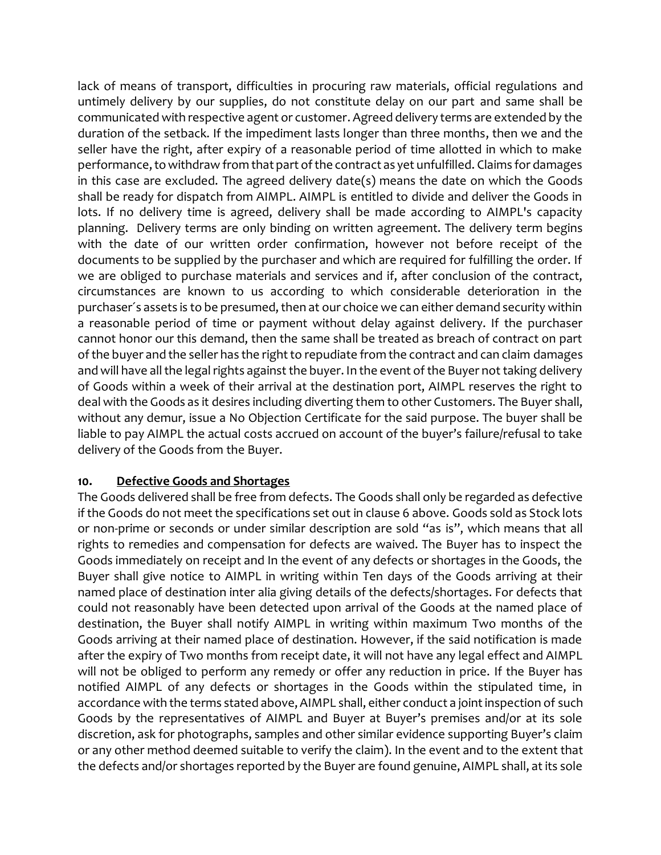lack of means of transport, difficulties in procuring raw materials, official regulations and untimely delivery by our supplies, do not constitute delay on our part and same shall be communicated with respective agent or customer. Agreed delivery terms are extended by the duration of the setback. If the impediment lasts longer than three months, then we and the seller have the right, after expiry of a reasonable period of time allotted in which to make performance, to withdraw from that part of the contract as yet unfulfilled. Claims for damages in this case are excluded. The agreed delivery date(s) means the date on which the Goods shall be ready for dispatch from AIMPL. AIMPL is entitled to divide and deliver the Goods in lots. If no delivery time is agreed, delivery shall be made according to AIMPL's capacity planning. Delivery terms are only binding on written agreement. The delivery term begins with the date of our written order confirmation, however not before receipt of the documents to be supplied by the purchaser and which are required for fulfilling the order. If we are obliged to purchase materials and services and if, after conclusion of the contract, circumstances are known to us according to which considerable deterioration in the purchaser´s assets is to be presumed, then at our choice we can either demand security within a reasonable period of time or payment without delay against delivery. If the purchaser cannot honor our this demand, then the same shall be treated as breach of contract on part of the buyer and the seller has the right to repudiate from the contract and can claim damages and will have all the legal rights against the buyer. In the event of the Buyer not taking delivery of Goods within a week of their arrival at the destination port, AIMPL reserves the right to deal with the Goods as it desires including diverting them to other Customers. The Buyer shall, without any demur, issue a No Objection Certificate for the said purpose. The buyer shall be liable to pay AIMPL the actual costs accrued on account of the buyer's failure/refusal to take delivery of the Goods from the Buyer.

#### **10. Defective Goods and Shortages**

The Goods delivered shall be free from defects. The Goods shall only be regarded as defective if the Goods do not meet the specifications set out in clause 6 above. Goods sold as Stock lots or non-prime or seconds or under similar description are sold "as is", which means that all rights to remedies and compensation for defects are waived. The Buyer has to inspect the Goods immediately on receipt and In the event of any defects or shortages in the Goods, the Buyer shall give notice to AIMPL in writing within Ten days of the Goods arriving at their named place of destination inter alia giving details of the defects/shortages. For defects that could not reasonably have been detected upon arrival of the Goods at the named place of destination, the Buyer shall notify AIMPL in writing within maximum Two months of the Goods arriving at their named place of destination. However, if the said notification is made after the expiry of Two months from receipt date, it will not have any legal effect and AIMPL will not be obliged to perform any remedy or offer any reduction in price. If the Buyer has notified AIMPL of any defects or shortages in the Goods within the stipulated time, in accordance with the terms stated above, AIMPL shall, either conduct a joint inspection of such Goods by the representatives of AIMPL and Buyer at Buyer's premises and/or at its sole discretion, ask for photographs, samples and other similar evidence supporting Buyer's claim or any other method deemed suitable to verify the claim). In the event and to the extent that the defects and/or shortages reported by the Buyer are found genuine, AIMPL shall, at its sole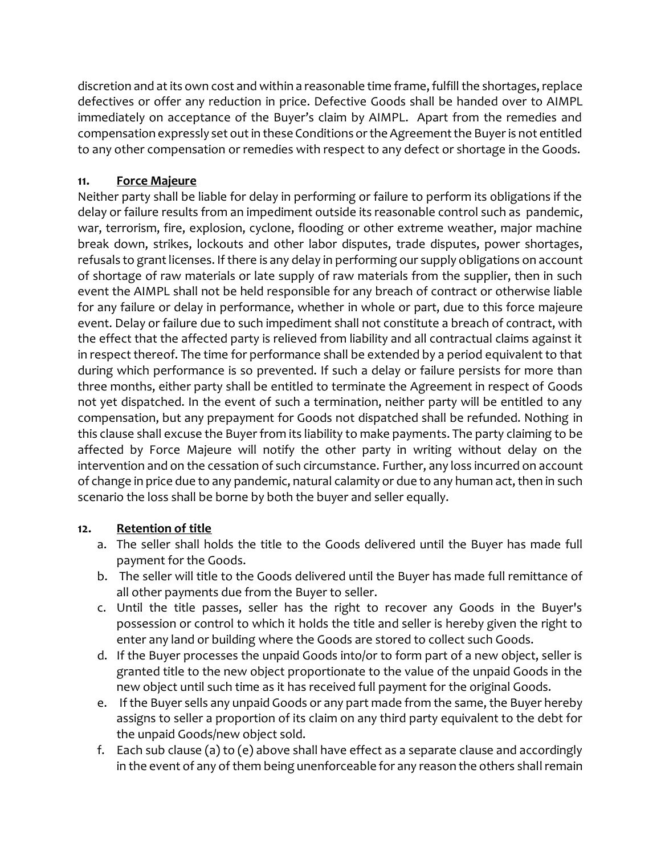discretion and at its own cost and within a reasonable time frame, fulfill the shortages, replace defectives or offer any reduction in price. Defective Goods shall be handed over to AIMPL immediately on acceptance of the Buyer's claim by AIMPL. Apart from the remedies and compensation expressly set out in these Conditions or the Agreement the Buyer is not entitled to any other compensation or remedies with respect to any defect or shortage in the Goods.

## **11. Force Majeure**

Neither party shall be liable for delay in performing or failure to perform its obligations if the delay or failure results from an impediment outside its reasonable control such as pandemic, war, terrorism, fire, explosion, cyclone, flooding or other extreme weather, major machine break down, strikes, lockouts and other labor disputes, trade disputes, power shortages, refusals to grant licenses. If there is any delay in performing our supply obligations on account of shortage of raw materials or late supply of raw materials from the supplier, then in such event the AIMPL shall not be held responsible for any breach of contract or otherwise liable for any failure or delay in performance, whether in whole or part, due to this force majeure event. Delay or failure due to such impediment shall not constitute a breach of contract, with the effect that the affected party is relieved from liability and all contractual claims against it in respect thereof. The time for performance shall be extended by a period equivalent to that during which performance is so prevented. If such a delay or failure persists for more than three months, either party shall be entitled to terminate the Agreement in respect of Goods not yet dispatched. In the event of such a termination, neither party will be entitled to any compensation, but any prepayment for Goods not dispatched shall be refunded. Nothing in this clause shall excuse the Buyer from its liability to make payments. The party claiming to be affected by Force Majeure will notify the other party in writing without delay on the intervention and on the cessation of such circumstance. Further, any loss incurred on account of change in price due to any pandemic, natural calamity or due to any human act, then in such scenario the loss shall be borne by both the buyer and seller equally.

## **12. Retention of title**

- a. The seller shall holds the title to the Goods delivered until the Buyer has made full payment for the Goods.
- b. The seller will title to the Goods delivered until the Buyer has made full remittance of all other payments due from the Buyer to seller.
- c. Until the title passes, seller has the right to recover any Goods in the Buyer's possession or control to which it holds the title and seller is hereby given the right to enter any land or building where the Goods are stored to collect such Goods.
- d. If the Buyer processes the unpaid Goods into/or to form part of a new object, seller is granted title to the new object proportionate to the value of the unpaid Goods in the new object until such time as it has received full payment for the original Goods.
- e. If the Buyer sells any unpaid Goods or any part made from the same, the Buyer hereby assigns to seller a proportion of its claim on any third party equivalent to the debt for the unpaid Goods/new object sold.
- f. Each sub clause (a) to (e) above shall have effect as a separate clause and accordingly in the event of any of them being unenforceable for any reason the others shall remain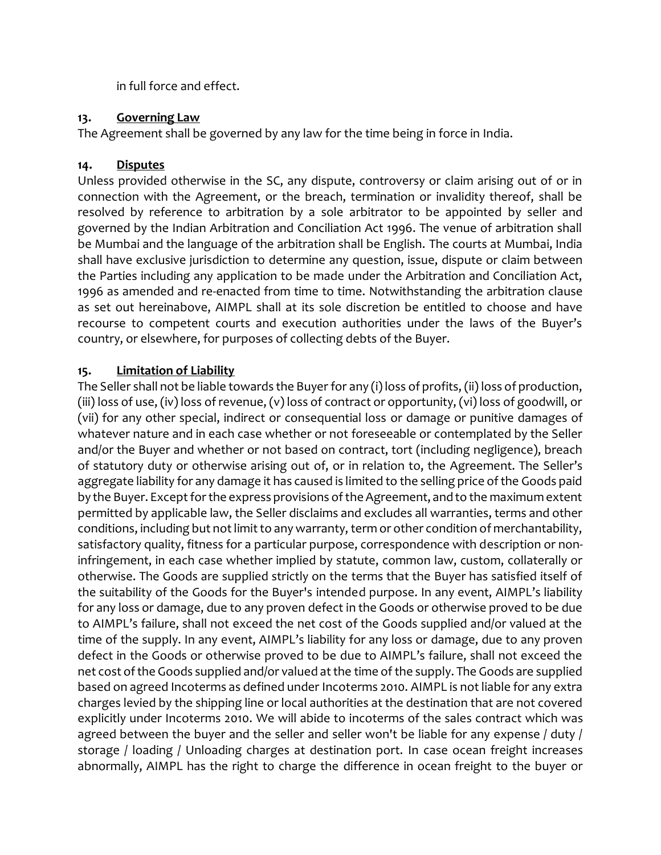in full force and effect.

### **13. Governing Law**

The Agreement shall be governed by any law for the time being in force in India.

## **14. Disputes**

Unless provided otherwise in the SC, any dispute, controversy or claim arising out of or in connection with the Agreement, or the breach, termination or invalidity thereof, shall be resolved by reference to arbitration by a sole arbitrator to be appointed by seller and governed by the Indian Arbitration and Conciliation Act 1996. The venue of arbitration shall be Mumbai and the language of the arbitration shall be English. The courts at Mumbai, India shall have exclusive jurisdiction to determine any question, issue, dispute or claim between the Parties including any application to be made under the Arbitration and Conciliation Act, 1996 as amended and re-enacted from time to time. Notwithstanding the arbitration clause as set out hereinabove, AIMPL shall at its sole discretion be entitled to choose and have recourse to competent courts and execution authorities under the laws of the Buyer's country, or elsewhere, for purposes of collecting debts of the Buyer.

# **15. Limitation of Liability**

The Seller shall not be liable towards the Buyer for any (i) loss of profits, (ii) loss of production, (iii) loss of use, (iv) loss of revenue, (v) loss of contract or opportunity, (vi) loss of goodwill, or (vii) for any other special, indirect or consequential loss or damage or punitive damages of whatever nature and in each case whether or not foreseeable or contemplated by the Seller and/or the Buyer and whether or not based on contract, tort (including negligence), breach of statutory duty or otherwise arising out of, or in relation to, the Agreement. The Seller's aggregate liability for any damage it has caused is limited to the selling price of the Goods paid by the Buyer. Except for the express provisions of the Agreement, and to the maximum extent permitted by applicable law, the Seller disclaims and excludes all warranties, terms and other conditions, including but not limit to any warranty, term or other condition of merchantability, satisfactory quality, fitness for a particular purpose, correspondence with description or noninfringement, in each case whether implied by statute, common law, custom, collaterally or otherwise. The Goods are supplied strictly on the terms that the Buyer has satisfied itself of the suitability of the Goods for the Buyer's intended purpose. In any event, AIMPL's liability for any loss or damage, due to any proven defect in the Goods or otherwise proved to be due to AIMPL's failure, shall not exceed the net cost of the Goods supplied and/or valued at the time of the supply. In any event, AIMPL's liability for any loss or damage, due to any proven defect in the Goods or otherwise proved to be due to AIMPL's failure, shall not exceed the net cost of the Goods supplied and/or valued at the time of the supply. The Goods are supplied based on agreed Incoterms as defined under Incoterms 2010. AIMPL is not liable for any extra charges levied by the shipping line or local authorities at the destination that are not covered explicitly under Incoterms 2010. We will abide to incoterms of the sales contract which was agreed between the buyer and the seller and seller won't be liable for any expense / duty / storage / loading / Unloading charges at destination port. In case ocean freight increases abnormally, AIMPL has the right to charge the difference in ocean freight to the buyer or